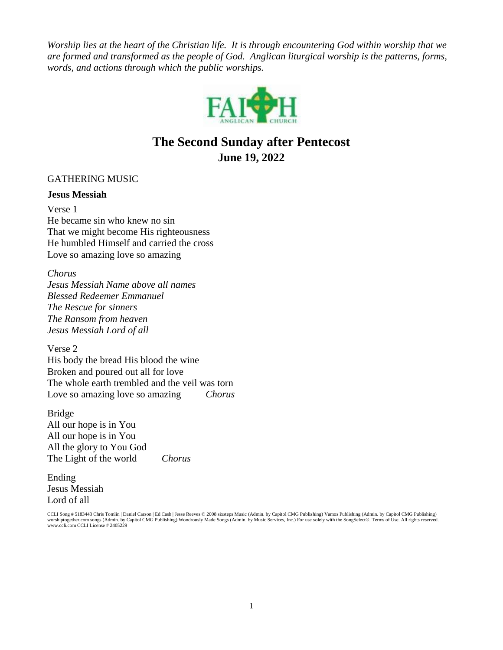*Worship lies at the heart of the Christian life. It is through encountering God within worship that we are formed and transformed as the people of God. Anglican liturgical worship is the patterns, forms, words, and actions through which the public worships.*



# **The Second Sunday after Pentecost June 19, 2022**

### GATHERING MUSIC

### **Jesus Messiah**

Verse 1 He became sin who knew no sin That we might become His righteousness He humbled Himself and carried the cross Love so amazing love so amazing

*Chorus Jesus Messiah Name above all names Blessed Redeemer Emmanuel The Rescue for sinners The Ransom from heaven Jesus Messiah Lord of all*

Verse 2 His body the bread His blood the wine Broken and poured out all for love The whole earth trembled and the veil was torn Love so amazing love so amazing *Chorus*

Bridge All our hope is in You All our hope is in You All the glory to You God The Light of the world *Chorus*

Ending Jesus Messiah Lord of all

CCLI Song # 5183443 Chris Tomlin | Daniel Carson | Ed Cash | Jesse Reeves © 2008 sixsteps Music (Admin. by Capitol CMG Publishing) Vamos Publishing (Admin. by Capitol CMG Publishing) worshiptogether.com songs (Admin. by Capitol CMG Publishing) Wondrously Made Songs (Admin. by Music Services, Inc.) For use solely with the SongSelect®. Terms of Use. All rights reserved. www.ccli.com CCLI License # 2405229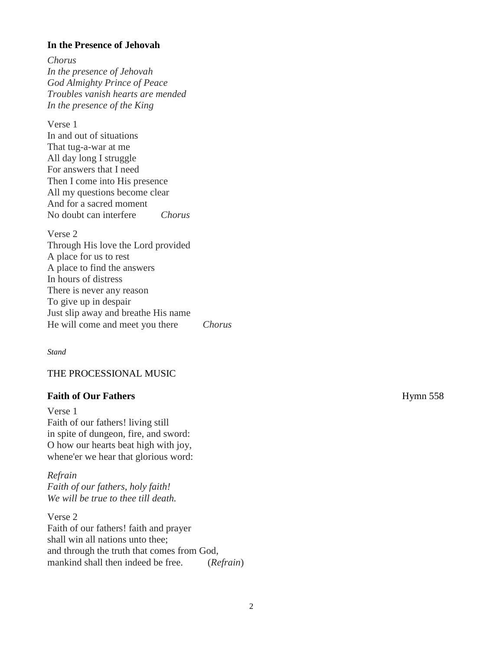#### **In the Presence of Jehovah**

*Chorus In the presence of Jehovah God Almighty Prince of Peace Troubles vanish hearts are mended In the presence of the King*

Verse 1 In and out of situations That tug-a-war at me All day long I struggle For answers that I need Then I come into His presence All my questions become clear And for a sacred moment No doubt can interfere *Chorus*

#### Verse 2

Through His love the Lord provided A place for us to rest A place to find the answers In hours of distress There is never any reason To give up in despair Just slip away and breathe His name He will come and meet you there *Chorus*

*Stand*

#### THE PROCESSIONAL MUSIC

#### **Faith of Our Fathers** Hymn 558

Verse 1 Faith of our fathers! living still in spite of dungeon, fire, and sword: O how our hearts beat high with joy, whene'er we hear that glorious word:

*Refrain Faith of our fathers, holy faith! We will be true to thee till death.*

Verse 2 Faith of our fathers! faith and prayer shall win all nations unto thee; and through the truth that comes from God, mankind shall then indeed be free. (*Refrain*)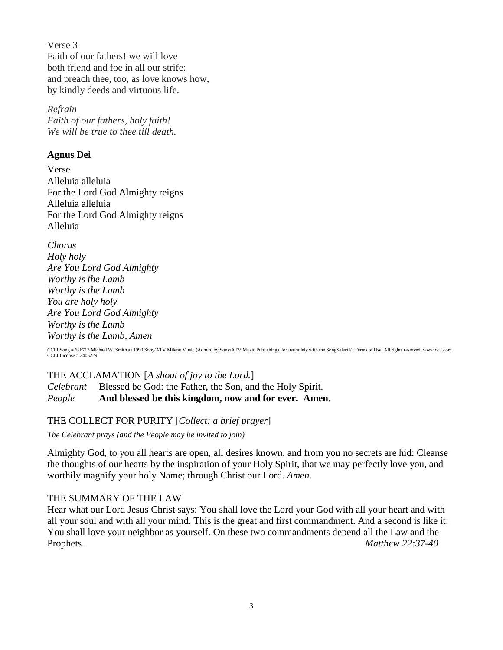Verse 3 Faith of our fathers! we will love both friend and foe in all our strife: and preach thee, too, as love knows how, by kindly deeds and virtuous life.

*Refrain Faith of our fathers, holy faith! We will be true to thee till death.*

# **Agnus Dei**

Verse Alleluia alleluia For the Lord God Almighty reigns Alleluia alleluia For the Lord God Almighty reigns Alleluia

*Chorus Holy holy Are You Lord God Almighty Worthy is the Lamb Worthy is the Lamb You are holy holy Are You Lord God Almighty Worthy is the Lamb Worthy is the Lamb, Amen*

CCLI Song # 626713 Michael W. Smith © 1990 Sony/ATV Milene Music (Admin. by Sony/ATV Music Publishing) For use solely with the SongSelect®. Terms of Use. All rights reserved. www.ccli.com CCLI License # 2405229

### THE ACCLAMATION [*A shout of joy to the Lord.*]

*Celebrant* Blessed be God: the Father, the Son, and the Holy Spirit. *People* **And blessed be this kingdom, now and for ever. Amen.**

# THE COLLECT FOR PURITY [*Collect: a brief prayer*]

*The Celebrant prays (and the People may be invited to join)*

Almighty God, to you all hearts are open, all desires known, and from you no secrets are hid: Cleanse the thoughts of our hearts by the inspiration of your Holy Spirit, that we may perfectly love you, and worthily magnify your holy Name; through Christ our Lord. *Amen*.

### THE SUMMARY OF THE LAW

Hear what our Lord Jesus Christ says: You shall love the Lord your God with all your heart and with all your soul and with all your mind. This is the great and first commandment. And a second is like it: You shall love your neighbor as yourself. On these two commandments depend all the Law and the Prophets. *Matthew 22:37-40*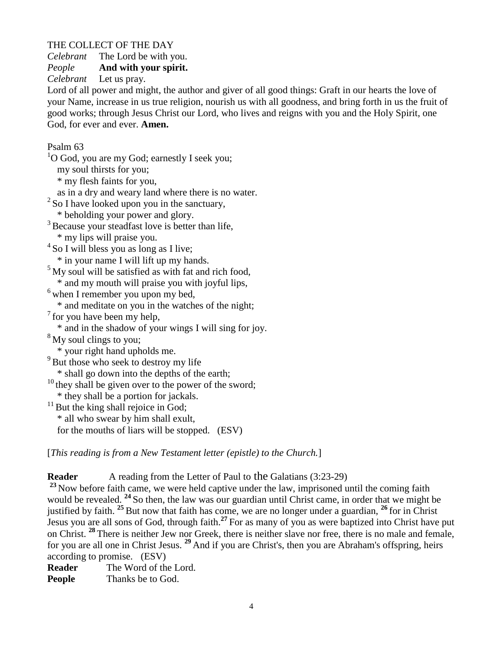### THE COLLECT OF THE DAY

*Celebrant* The Lord be with you.

*People* **And with your spirit.**

*Celebrant* Let us pray.

Lord of all power and might, the author and giver of all good things: Graft in our hearts the love of your Name, increase in us true religion, nourish us with all goodness, and bring forth in us the fruit of good works; through Jesus Christ our Lord, who lives and reigns with you and the Holy Spirit, one God, for ever and ever. **Amen.**

Psalm 63

 $1$ O God, you are my God; earnestly I seek you;

my soul thirsts for you;

\* my flesh faints for you,

as in a dry and weary land where there is no water.

 $2^2$  So I have looked upon you in the sanctuary,

\* beholding your power and glory.

<sup>3</sup> Because your steadfast love is better than life,

\* my lips will praise you.

4 So I will bless you as long as I live;

\* in your name I will lift up my hands.

 $5$  My soul will be satisfied as with fat and rich food,

\* and my mouth will praise you with joyful lips,

- $6$  when I remember you upon my bed,
	- \* and meditate on you in the watches of the night;

 $7$  for you have been my help,

- \* and in the shadow of your wings I will sing for joy.
- $8$  My soul clings to you;
- \* your right hand upholds me.
- <sup>9</sup> But those who seek to destroy my life

\* shall go down into the depths of the earth;

 $10$  they shall be given over to the power of the sword;

\* they shall be a portion for jackals.

 $11$  But the king shall rejoice in God;

\* all who swear by him shall exult,

for the mouths of liars will be stopped. (ESV)

[*This reading is from a New Testament letter (epistle) to the Church.*]

**Reader** A reading from the Letter of Paul to the Galatians (3:23-29)

<sup>23</sup> Now before faith came, we were held captive under the law, imprisoned until the coming faith would be revealed. **<sup>24</sup>** So then, the law was our guardian until Christ came, in order that we might be justified by faith. **<sup>25</sup>** But now that faith has come, we are no longer under a guardian, **<sup>26</sup>** for in Christ Jesus you are all sons of God, through faith.**<sup>27</sup>** For as many of you as were baptized into Christ have put on Christ. **<sup>28</sup>** There is neither Jew nor Greek, there is neither slave nor free, there is no male and female, for you are all one in Christ Jesus. **<sup>29</sup>** And if you are Christ's, then you are Abraham's offspring, heirs according to promise. (ESV)

**Reader** The Word of the Lord. **People** Thanks be to God.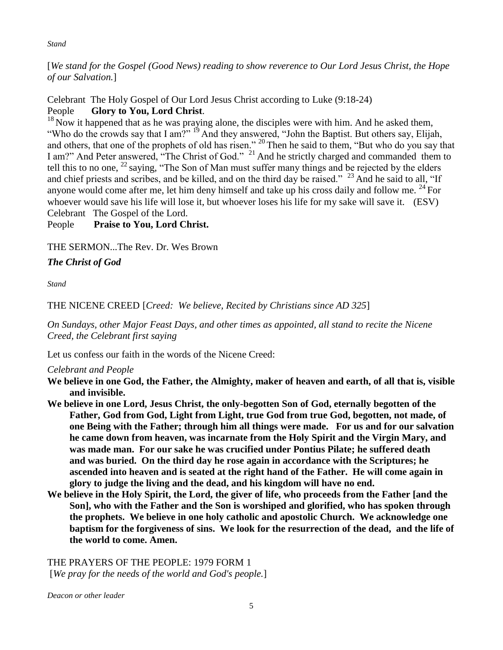*Stand*

# [*We stand for the Gospel (Good News) reading to show reverence to Our Lord Jesus Christ, the Hope of our Salvation.*]

Celebrant The Holy Gospel of Our Lord Jesus Christ according to Luke (9:18-24) People **Glory to You, Lord Christ**.

 $18$  Now it happened that as he was praying alone, the disciples were with him. And he asked them, "Who do the crowds say that I am?"<sup>19</sup> And they answered, "John the Baptist. But others say, Elijah, and others, that one of the prophets of old has risen." <sup>20</sup> Then he said to them, "But who do you say that I am?" And Peter answered, "The Christ of God." <sup>21</sup> And he strictly charged and commanded them to tell this to no one,  $^{22}$  saying, "The Son of Man must suffer many things and be rejected by the elders and chief priests and scribes, and be killed, and on the third day be raised."  $23$  And he said to all, "If anyone would come after me, let him deny himself and take up his cross daily and follow me.  $^{24}$  For whoever would save his life will lose it, but whoever loses his life for my sake will save it. (ESV) Celebrant The Gospel of the Lord.

People **Praise to You, Lord Christ.**

THE SERMON...The Rev. Dr. Wes Brown

*The Christ of God*

*Stand*

THE NICENE CREED [*Creed: We believe, Recited by Christians since AD 325*]

*On Sundays, other Major Feast Days, and other times as appointed, all stand to recite the Nicene Creed, the Celebrant first saying* 

Let us confess our faith in the words of the Nicene Creed:

*Celebrant and People*

**We believe in one God, the Father, the Almighty, maker of heaven and earth, of all that is, visible and invisible.**

- **We believe in one Lord, Jesus Christ, the only-begotten Son of God, eternally begotten of the Father, God from God, Light from Light, true God from true God, begotten, not made, of one Being with the Father; through him all things were made. For us and for our salvation he came down from heaven, was incarnate from the Holy Spirit and the Virgin Mary, and was made man. For our sake he was crucified under Pontius Pilate; he suffered death and was buried. On the third day he rose again in accordance with the Scriptures; he ascended into heaven and is seated at the right hand of the Father. He will come again in glory to judge the living and the dead, and his kingdom will have no end.**
- **We believe in the Holy Spirit, the Lord, the giver of life, who proceeds from the Father [and the Son], who with the Father and the Son is worshiped and glorified, who has spoken through the prophets. We believe in one holy catholic and apostolic Church. We acknowledge one baptism for the forgiveness of sins. We look for the resurrection of the dead, and the life of the world to come. Amen.**

THE PRAYERS OF THE PEOPLE: 1979 FORM 1 [*We pray for the needs of the world and God's people.*]

*Deacon or other leader*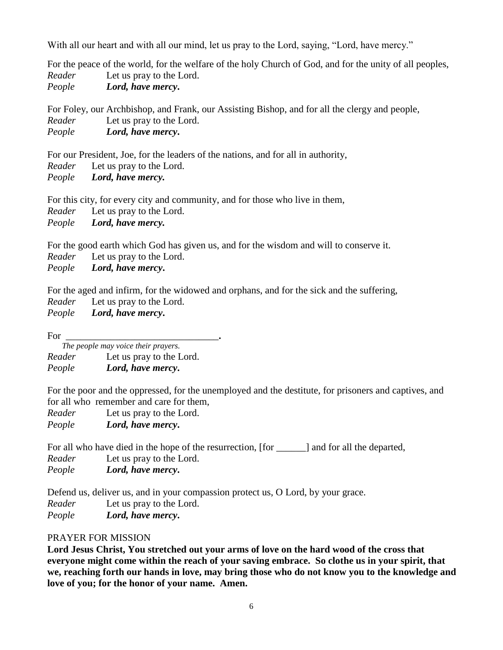With all our heart and with all our mind, let us pray to the Lord, saying, "Lord, have mercy."

For the peace of the world, for the welfare of the holy Church of God, and for the unity of all peoples, *Reader* Let us pray to the Lord. *People Lord, have mercy***.**

For Foley, our Archbishop, and Frank, our Assisting Bishop, and for all the clergy and people, *Reader* Let us pray to the Lord. *People Lord, have mercy***.**

For our President, Joe, for the leaders of the nations, and for all in authority,

*Reader* Let us pray to the Lord.

*People Lord, have mercy.*

For this city, for every city and community, and for those who live in them,

*Reader* Let us pray to the Lord.

*People Lord, have mercy.*

For the good earth which God has given us, and for the wisdom and will to conserve it.

*Reader* Let us pray to the Lord.

*People Lord, have mercy***.**

For the aged and infirm, for the widowed and orphans, and for the sick and the suffering,

*Reader* Let us pray to the Lord.

*People Lord, have mercy***.**

For \_\_\_\_\_\_\_\_\_\_\_\_\_\_\_\_\_\_\_\_\_\_\_\_\_\_\_\_\_\_\_**.** 

*The people may voice their prayers. Reader* Let us pray to the Lord. *People Lord, have mercy***.**

For the poor and the oppressed, for the unemployed and the destitute, for prisoners and captives, and for all who remember and care for them,

*Reader* Let us pray to the Lord.

*People Lord, have mercy***.**

For all who have died in the hope of the resurrection, [for  $\Box$ ] and for all the departed, *Reader* Let us pray to the Lord. *People Lord, have mercy***.**

Defend us, deliver us, and in your compassion protect us, O Lord, by your grace. *Reader* Let us pray to the Lord. *People Lord, have mercy***.**

# PRAYER FOR MISSION

**Lord Jesus Christ, You stretched out your arms of love on the hard wood of the cross that everyone might come within the reach of your saving embrace. So clothe us in your spirit, that we, reaching forth our hands in love, may bring those who do not know you to the knowledge and love of you; for the honor of your name. Amen.**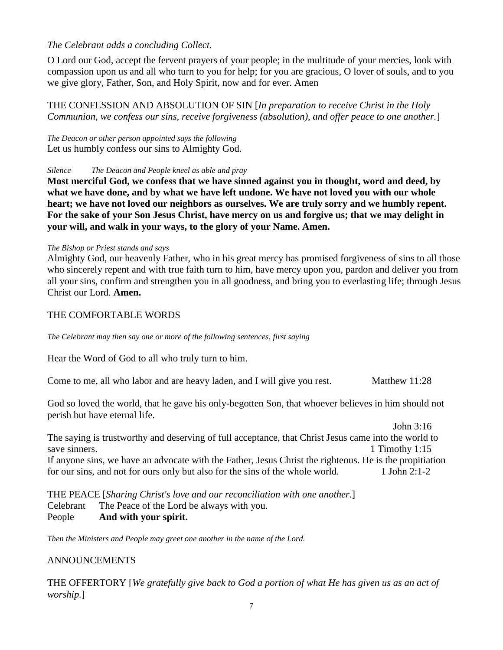# *The Celebrant adds a concluding Collect.*

O Lord our God, accept the fervent prayers of your people; in the multitude of your mercies, look with compassion upon us and all who turn to you for help; for you are gracious, O lover of souls, and to you we give glory, Father, Son, and Holy Spirit, now and for ever. Amen

THE CONFESSION AND ABSOLUTION OF SIN [*In preparation to receive Christ in the Holy Communion, we confess our sins, receive forgiveness (absolution), and offer peace to one another.*]

*The Deacon or other person appointed says the following* Let us humbly confess our sins to Almighty God.

*Silence The Deacon and People kneel as able and pray*

**Most merciful God, we confess that we have sinned against you in thought, word and deed, by what we have done, and by what we have left undone. We have not loved you with our whole heart; we have not loved our neighbors as ourselves. We are truly sorry and we humbly repent. For the sake of your Son Jesus Christ, have mercy on us and forgive us; that we may delight in your will, and walk in your ways, to the glory of your Name. Amen.**

#### *The Bishop or Priest stands and says*

Almighty God, our heavenly Father, who in his great mercy has promised forgiveness of sins to all those who sincerely repent and with true faith turn to him, have mercy upon you, pardon and deliver you from all your sins, confirm and strengthen you in all goodness, and bring you to everlasting life; through Jesus Christ our Lord. **Amen.**

### THE COMFORTABLE WORDS

*The Celebrant may then say one or more of the following sentences, first saying*

Hear the Word of God to all who truly turn to him.

Come to me, all who labor and are heavy laden, and I will give you rest. Matthew 11:28

God so loved the world, that he gave his only-begotten Son, that whoever believes in him should not perish but have eternal life.

 John 3:16 The saying is trustworthy and deserving of full acceptance, that Christ Jesus came into the world to save sinners. 1 Timothy 1:15 If anyone sins, we have an advocate with the Father, Jesus Christ the righteous. He is the propitiation for our sins, and not for ours only but also for the sins of the whole world.  $1$  John 2:1-2

THE PEACE [*Sharing Christ's love and our reconciliation with one another.*] Celebrant The Peace of the Lord be always with you. People **And with your spirit.**

*Then the Ministers and People may greet one another in the name of the Lord.*

# ANNOUNCEMENTS

THE OFFERTORY [*We gratefully give back to God a portion of what He has given us as an act of worship.*]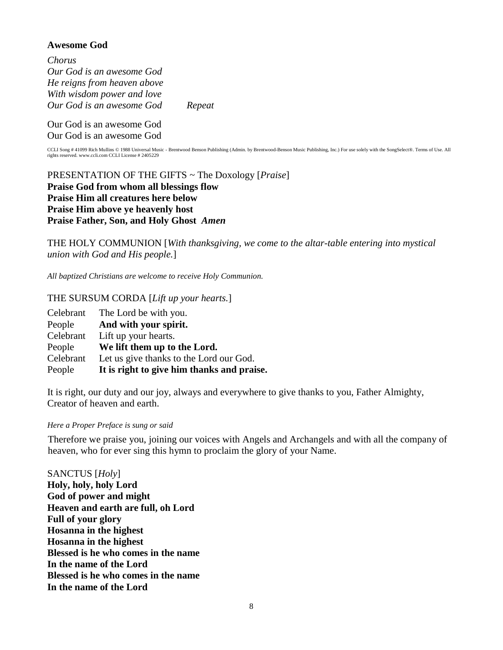#### **Awesome God**

*Chorus Our God is an awesome God He reigns from heaven above With wisdom power and love Our God is an awesome God Repeat*

Our God is an awesome God Our God is an awesome God

CCLI Song # 41099 Rich Mullins © 1988 Universal Music - Brentwood Benson Publishing (Admin. by Brentwood-Benson Music Publishing, Inc.) For use solely with the SongSelect®. Terms of Use. All rights reserved. www.ccli.com CCLI License # 2405229

PRESENTATION OF THE GIFTS ~ The Doxology [*Praise*] **Praise God from whom all blessings flow Praise Him all creatures here below Praise Him above ye heavenly host Praise Father, Son, and Holy Ghost** *Amen*

THE HOLY COMMUNION [*With thanksgiving, we come to the altar-table entering into mystical union with God and His people.*]

*All baptized Christians are welcome to receive Holy Communion.*

#### THE SURSUM CORDA [*Lift up your hearts.*]

| Celebrant | The Lord be with you.                      |
|-----------|--------------------------------------------|
| People    | And with your spirit.                      |
| Celebrant | Lift up your hearts.                       |
| People    | We lift them up to the Lord.               |
| Celebrant | Let us give thanks to the Lord our God.    |
| People    | It is right to give him thanks and praise. |

It is right, our duty and our joy, always and everywhere to give thanks to you, Father Almighty, Creator of heaven and earth.

#### *Here a Proper Preface is sung or said*

Therefore we praise you, joining our voices with Angels and Archangels and with all the company of heaven, who for ever sing this hymn to proclaim the glory of your Name.

SANCTUS [*Holy*] **Holy, holy, holy Lord God of power and might Heaven and earth are full, oh Lord Full of your glory Hosanna in the highest Hosanna in the highest Blessed is he who comes in the name In the name of the Lord Blessed is he who comes in the name In the name of the Lord**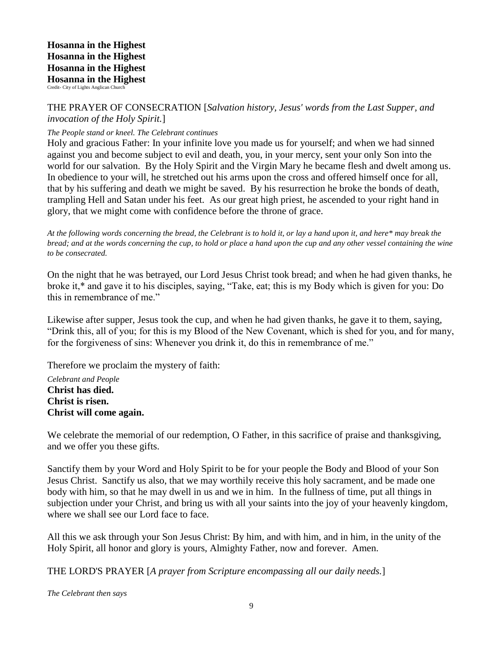### THE PRAYER OF CONSECRATION [*Salvation history, Jesus' words from the Last Supper, and invocation of the Holy Spirit.*]

### *The People stand or kneel. The Celebrant continues*

Holy and gracious Father: In your infinite love you made us for yourself; and when we had sinned against you and become subject to evil and death, you, in your mercy, sent your only Son into the world for our salvation. By the Holy Spirit and the Virgin Mary he became flesh and dwelt among us. In obedience to your will, he stretched out his arms upon the cross and offered himself once for all, that by his suffering and death we might be saved. By his resurrection he broke the bonds of death, trampling Hell and Satan under his feet. As our great high priest, he ascended to your right hand in glory, that we might come with confidence before the throne of grace.

*At the following words concerning the bread, the Celebrant is to hold it, or lay a hand upon it, and here\* may break the bread; and at the words concerning the cup, to hold or place a hand upon the cup and any other vessel containing the wine to be consecrated.*

On the night that he was betrayed, our Lord Jesus Christ took bread; and when he had given thanks, he broke it,\* and gave it to his disciples, saying, "Take, eat; this is my Body which is given for you: Do this in remembrance of me."

Likewise after supper, Jesus took the cup, and when he had given thanks, he gave it to them, saying, "Drink this, all of you; for this is my Blood of the New Covenant, which is shed for you, and for many, for the forgiveness of sins: Whenever you drink it, do this in remembrance of me."

Therefore we proclaim the mystery of faith:

*Celebrant and People* **Christ has died. Christ is risen. Christ will come again.**

We celebrate the memorial of our redemption, O Father, in this sacrifice of praise and thanksgiving, and we offer you these gifts.

Sanctify them by your Word and Holy Spirit to be for your people the Body and Blood of your Son Jesus Christ. Sanctify us also, that we may worthily receive this holy sacrament, and be made one body with him, so that he may dwell in us and we in him. In the fullness of time, put all things in subjection under your Christ, and bring us with all your saints into the joy of your heavenly kingdom, where we shall see our Lord face to face.

All this we ask through your Son Jesus Christ: By him, and with him, and in him, in the unity of the Holy Spirit, all honor and glory is yours, Almighty Father, now and forever. Amen.

THE LORD'S PRAYER [*A prayer from Scripture encompassing all our daily needs.*]

*The Celebrant then says*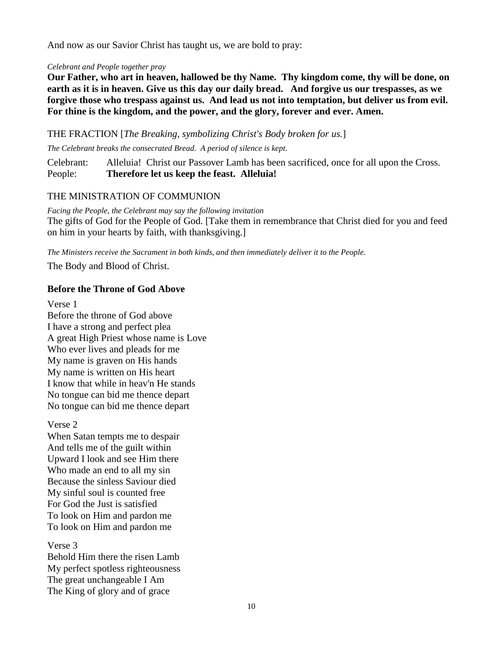And now as our Savior Christ has taught us, we are bold to pray:

#### *Celebrant and People together pray*

**Our Father, who art in heaven, hallowed be thy Name. Thy kingdom come, thy will be done, on earth as it is in heaven. Give us this day our daily bread. And forgive us our trespasses, as we forgive those who trespass against us. And lead us not into temptation, but deliver us from evil. For thine is the kingdom, and the power, and the glory, forever and ever. Amen.**

THE FRACTION [*The Breaking, symbolizing Christ's Body broken for us.*]

*The Celebrant breaks the consecrated Bread. A period of silence is kept.* 

Celebrant: Alleluia! Christ our Passover Lamb has been sacrificed, once for all upon the Cross. People: **Therefore let us keep the feast. Alleluia!**

# THE MINISTRATION OF COMMUNION

*Facing the People, the Celebrant may say the following invitation* The gifts of God for the People of God. [Take them in remembrance that Christ died for you and feed on him in your hearts by faith, with thanksgiving.]

*The Ministers receive the Sacrament in both kinds, and then immediately deliver it to the People.* 

The Body and Blood of Christ.

# **Before the Throne of God Above**

Verse 1 Before the throne of God above I have a strong and perfect plea A great High Priest whose name is Love Who ever lives and pleads for me My name is graven on His hands My name is written on His heart I know that while in heav'n He stands No tongue can bid me thence depart No tongue can bid me thence depart

Verse 2

When Satan tempts me to despair And tells me of the guilt within Upward I look and see Him there Who made an end to all my sin Because the sinless Saviour died My sinful soul is counted free For God the Just is satisfied To look on Him and pardon me To look on Him and pardon me

# Verse 3

Behold Him there the risen Lamb My perfect spotless righteousness The great unchangeable I Am The King of glory and of grace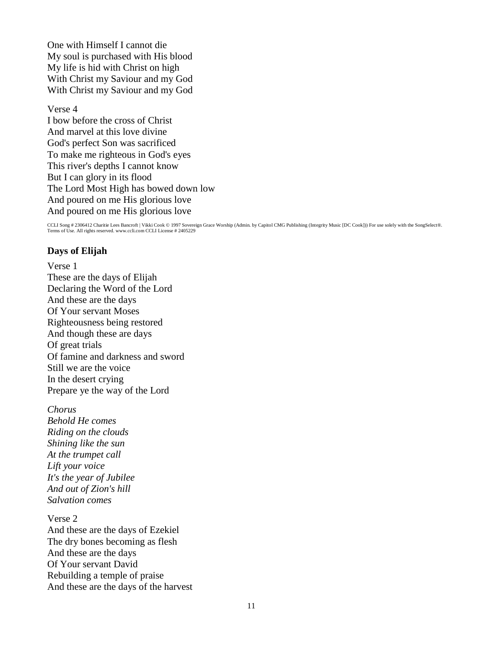One with Himself I cannot die My soul is purchased with His blood My life is hid with Christ on high With Christ my Saviour and my God With Christ my Saviour and my God

Verse 4 I bow before the cross of Christ And marvel at this love divine God's perfect Son was sacrificed To make me righteous in God's eyes This river's depths I cannot know But I can glory in its flood

The Lord Most High has bowed down low And poured on me His glorious love

And poured on me His glorious love

CCLI Song # 2306412 Charitie Lees Bancroft | Vikki Cook © 1997 Sovereign Grace Worship (Admin. by Capitol CMG Publishing (Integrity Music [DC Cook])) For use solely with the SongSelect®. Terms of Use. All rights reserved. www.ccli.com CCLI License # 2405229

### **Days of Elijah**

Verse 1 These are the days of Elijah Declaring the Word of the Lord And these are the days Of Your servant Moses Righteousness being restored And though these are days Of great trials Of famine and darkness and sword Still we are the voice In the desert crying Prepare ye the way of the Lord

*Chorus Behold He comes*

*Riding on the clouds Shining like the sun At the trumpet call Lift your voice It's the year of Jubilee And out of Zion's hill Salvation comes*

Verse 2 And these are the days of Ezekiel The dry bones becoming as flesh And these are the days Of Your servant David Rebuilding a temple of praise And these are the days of the harvest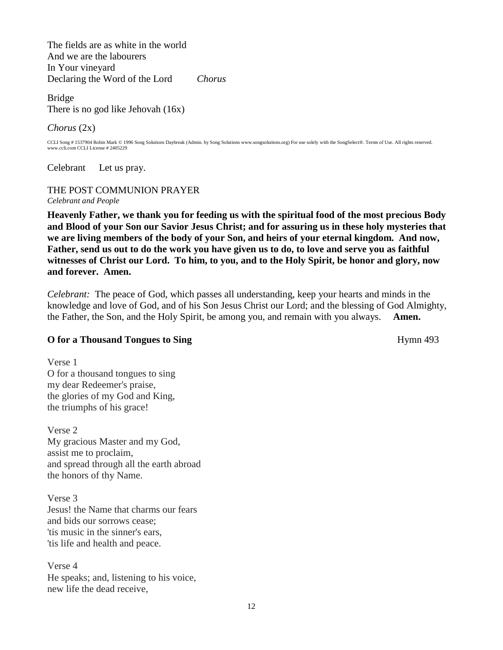The fields are as white in the world And we are the labourers In Your vineyard Declaring the Word of the Lord *Chorus*

Bridge There is no god like Jehovah (16x)

*Chorus* (2x)

CCLI Song # 1537904 Robin Mark © 1996 Song Solutions Daybreak (Admin. by Song Solutions www.songsolutions.org) For use solely with the SongSelect®. Terms of Use. All rights reserved. www.ccli.com CCLI License # 2405229

Celebrant Let us pray.

THE POST COMMUNION PRAYER *Celebrant and People*

**Heavenly Father, we thank you for feeding us with the spiritual food of the most precious Body and Blood of your Son our Savior Jesus Christ; and for assuring us in these holy mysteries that we are living members of the body of your Son, and heirs of your eternal kingdom. And now, Father, send us out to do the work you have given us to do, to love and serve you as faithful witnesses of Christ our Lord. To him, to you, and to the Holy Spirit, be honor and glory, now and forever. Amen.**

*Celebrant:* The peace of God, which passes all understanding, keep your hearts and minds in the knowledge and love of God, and of his Son Jesus Christ our Lord; and the blessing of God Almighty, the Father, the Son, and the Holy Spirit, be among you, and remain with you always. **Amen.**

# **O for a Thousand Tongues to Sing Hymn 493**

Verse 1 O for a thousand tongues to sing my dear Redeemer's praise, the glories of my God and King, the triumphs of his grace!

Verse 2 My gracious Master and my God, assist me to proclaim, and spread through all the earth abroad the honors of thy Name.

Verse 3 Jesus! the Name that charms our fears and bids our sorrows cease; 'tis music in the sinner's ears, 'tis life and health and peace.

Verse 4 He speaks; and, listening to his voice, new life the dead receive,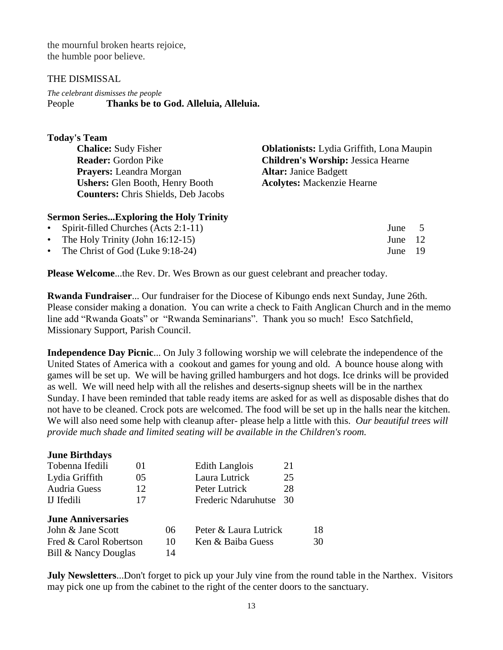the mournful broken hearts rejoice, the humble poor believe.

#### THE DISMISSAL

*The celebrant dismisses the people* People **Thanks be to God. Alleluia, Alleluia.**

| <b>Today's Team</b>                        |                                                  |
|--------------------------------------------|--------------------------------------------------|
| <b>Chalice:</b> Sudy Fisher                | <b>Oblationists:</b> Lydia Griffith, Lona Maupin |
| <b>Reader:</b> Gordon Pike                 | <b>Children's Worship: Jessica Hearne</b>        |
| <b>Prayers:</b> Leandra Morgan             | <b>Altar: Janice Badgett</b>                     |
| <b>Ushers: Glen Booth, Henry Booth</b>     | <b>Acolytes:</b> Mackenzie Hearne                |
| <b>Counters:</b> Chris Shields, Deb Jacobs |                                                  |
|                                            |                                                  |

# **Sermon Series...Exploring the Holy Trinity**

| • Spirit-filled Churches (Acts 2:1-11) | June $5$  |  |
|----------------------------------------|-----------|--|
| • The Holy Trinity (John $16:12-15$ )  | June $12$ |  |
| • The Christ of God (Luke $9:18-24$ )  | June $19$ |  |
|                                        |           |  |

**Please Welcome**...the Rev. Dr. Wes Brown as our guest celebrant and preacher today.

**Rwanda Fundraiser**... Our fundraiser for the Diocese of Kibungo ends next Sunday, June 26th. Please consider making a donation. You can write a check to Faith Anglican Church and in the memo line add "Rwanda Goats" or "Rwanda Seminarians". Thank you so much! Esco Satchfield, Missionary Support, Parish Council.

**Independence Day Picnic**... On July 3 following worship we will celebrate the independence of the United States of America with a cookout and games for young and old. A bounce house along with games will be set up. We will be having grilled hamburgers and hot dogs. Ice drinks will be provided as well. We will need help with all the relishes and deserts-signup sheets will be in the narthex Sunday. I have been reminded that table ready items are asked for as well as disposable dishes that do not have to be cleaned. Crock pots are welcomed. The food will be set up in the halls near the kitchen. We will also need some help with cleanup after- please help a little with this. *Our beautiful trees will provide much shade and limited seating will be available in the Children's room.*

| <b>June Birthdays</b>     |    |    |                            |    |    |
|---------------------------|----|----|----------------------------|----|----|
| Tobenna Ifedili           | 01 |    | Edith Langlois             | 21 |    |
| Lydia Griffith            | 05 |    | Laura Lutrick              | 25 |    |
| <b>Audria Guess</b>       | 12 |    | Peter Lutrick              | 28 |    |
| IJ Ifedili                | 17 |    | <b>Frederic Ndaruhutse</b> | 30 |    |
| <b>June Anniversaries</b> |    |    |                            |    |    |
| John & Jane Scott         |    | 06 | Peter & Laura Lutrick      |    | 18 |
| Fred & Carol Robertson    |    | 10 | Ken & Baiba Guess          |    | 30 |
| Bill & Nancy Douglas      |    | 14 |                            |    |    |

**July Newsletters**...Don't forget to pick up your July vine from the round table in the Narthex. Visitors may pick one up from the cabinet to the right of the center doors to the sanctuary.